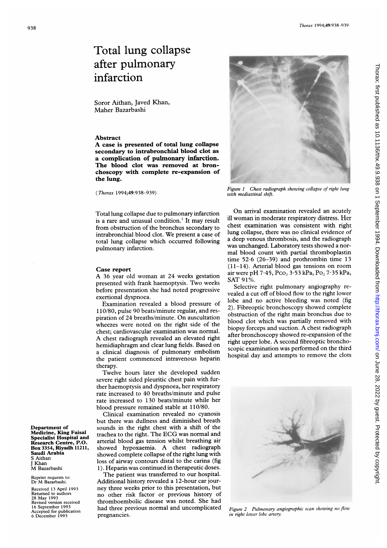## Total lung collapse after pulmonary infarction

Soror Aithan, Javed Khan, Maher Bazarbashi

## Abstract

A case is presented of total lung collapse secondary to intrabronchial blood clot as a complication of pulmonary infarction. The blood clot was removed at bronchoscopy with complete re-expansion of the lung.

(Thorax 1994;49:938-939)

Total lung collapse due to pulmonary infarction is <sup>a</sup> rare and unusual condition.' It may result from obstruction of the bronchus secondary to intrabronchial blood clot. We present <sup>a</sup> case of total lung collapse which occurred following pulmonary infarction.

## Case report

A <sup>36</sup> year old woman at <sup>24</sup> weeks gestation presented with frank haemoptysis. Two weeks before presentation she had noted progressive exertional dyspnoea.

Examination revealed a blood pressure of 110/80, pulse 90 beats/minute regular, and respiration of 24 breaths/minute. On auscultation wheezes were noted on the right side of the chest; cardiovascular examination was normal. A chest radiograph revealed an elevated right hemidiaphragm and clear lung fields. Based on a clinical diagnosis of pulmonary embolism the patient commenced intravenous heparin therapy.

Twelve hours later she developed sudden severe right sided pleuritic chest pain with further haemoptysis and dyspnoea, her respiratory rate increased to 40 breaths/minute and pulse rate increased to 130 beats/minute while her blood pressure remained stable at 110/80.

Clinical examination revealed no cyanosis but there was dullness and diminished breath sounds in the right chest with a shift of the trachea to the right. The ECG was normal and arterial blood gas tension whilst breathing air showed hypoxaemia. A chest radiograph showed complete collapse of the right lung with loss of airway contours distal to the carina (fig 1). Heparin was continued in therapeutic doses.

The patient was transferred to our hospital. Additional history revealed a 12-hour car journey three weeks prior to this presentation, but no other risk factor or previous history of thromboembolic disease was noted. She had had three previous normal and uncomplicated pregnancies.



On arrival examination revealed an acutely ill woman in moderate respiratory distress. Her chest examination was consistent with right lung collapse, there was no clinical evidence of a deep venous thrombosis, and the radiograph was unchanged. Laboratory tests showed a normal blood count with partial thromboplastin time 52-6 (26-39) and prothrombin time 13 (11-14). Arterial blood gas tensions on room air were pH 7.45, Pco<sub>2</sub> 3.53 kPa, Po<sub>2</sub> 7.35 kPa, SAT 91%.

Selective right pulmonary angiography revealed a cut off of blood flow to the right lower lobe and no active bleeding was noted (fig 2). Fibreoptic bronchoscopy showed complete obstruction of the right main bronchus due to blood clot which was partially removed with biopsy forceps and suction. A chest radiograph after bronchoscopy showed re-expansion of the right upper lobe. A second fibreoptic bronchoscopic examination was performed on the third hospital day and attempts to remove the clots



Figure 2 Pulmonary angiographic scan showing no flow in right lower lobe artery.



Reprint requests to: Dr M Bazarbashi.

Received 13 April 1993 Returned to authors 28 May 1993 Revised version received 16 September 1993 Accepted for publication 6 December 1993